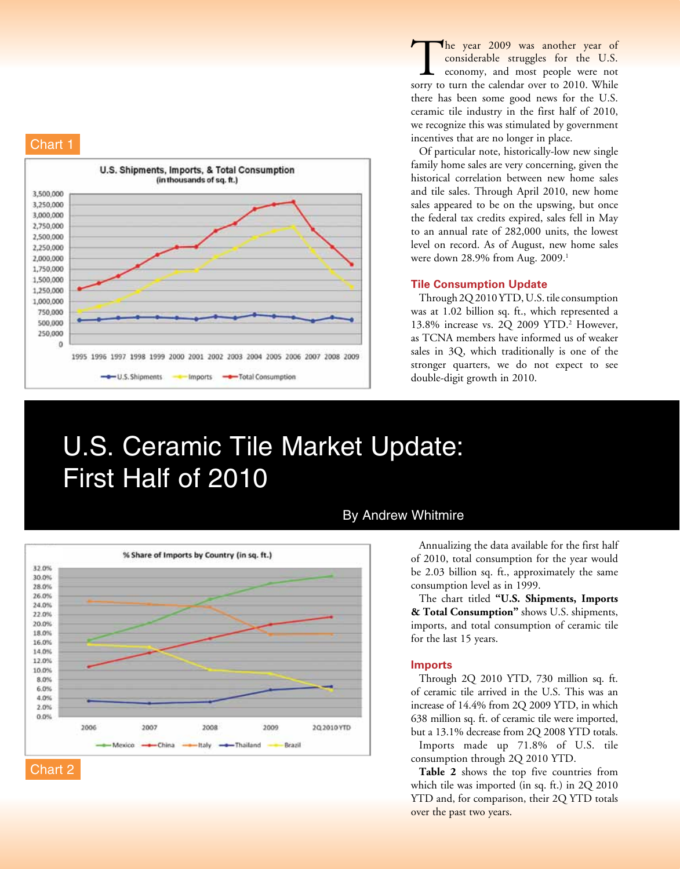



The year 2009 was another year of considerable struggles for the U.S. economy, and most people were not sorry to turn the calendar over to 2010. While there has been some good news for the U.S. ceramic tile industry in the first half of 2010, we recognize this was stimulated by government incentives that are no longer in place.

Of particular note, historically-low new single family home sales are very concerning, given the historical correlation between new home sales and tile sales. Through April 2010, new home sales appeared to be on the upswing, but once the federal tax credits expired, sales fell in May to an annual rate of 282,000 units, the lowest level on record. As of August, new home sales were down 28.9% from Aug. 2009.<sup>1</sup>

## **Tile Consumption Update**

Through 2Q 2010 YTD, U.S. tile consumption was at 1.02 billion sq. ft., which represented a 13.8% increase vs. 2Q 2009 YTD.<sup>2</sup> However, as TCNA members have informed us of weaker sales in 3Q, which traditionally is one of the stronger quarters, we do not expect to see double-digit growth in 2010.

# U.S. Ceramic Tile Market Update: First Half of 2010



## By Andrew Whitmire

Annualizing the data available for the first half of 2010, total consumption for the year would be 2.03 billion sq. ft., approximately the same consumption level as in 1999.

The chart titled **"U.S. Shipments, Imports & Total Consumption"** shows U.S. shipments, imports, and total consumption of ceramic tile for the last 15 years.

#### **Imports**

Through 2Q 2010 YTD, 730 million sq. ft. of ceramic tile arrived in the U.S. This was an increase of 14.4% from 2Q 2009 YTD, in which 638 million sq. ft. of ceramic tile were imported, but a 13.1% decrease from 2Q 2008 YTD totals.

Imports made up 71.8% of U.S. tile consumption through 2Q 2010 YTD.

**Table 2** shows the top five countries from which tile was imported (in sq. ft.) in 2Q 2010 YTD and, for comparison, their 2Q YTD totals over the past two years.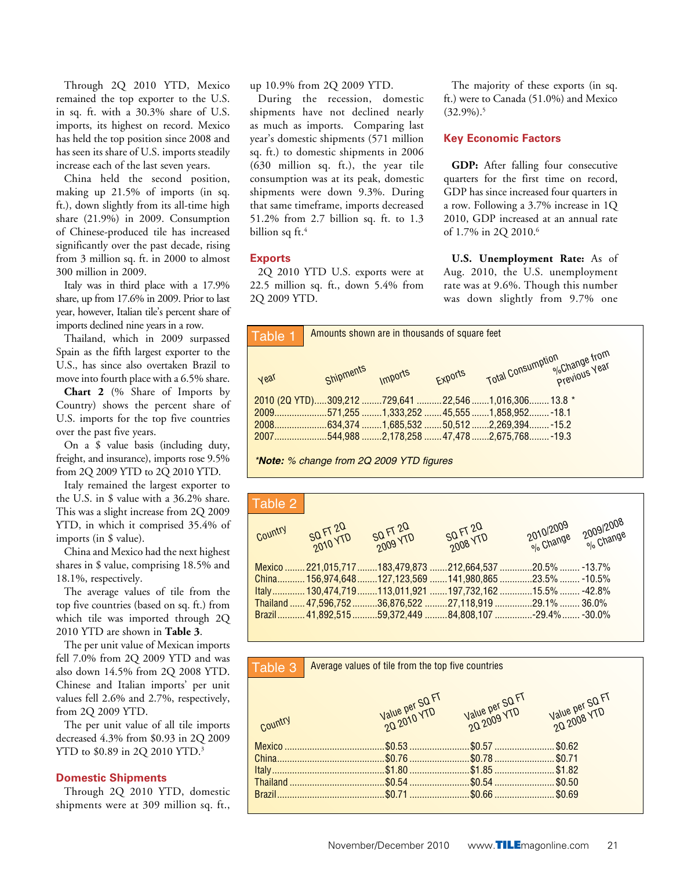Through 2Q 2010 YTD, Mexico remained the top exporter to the U.S. in sq. ft. with a 30.3% share of U.S. imports, its highest on record. Mexico has held the top position since 2008 and has seen its share of U.S. imports steadily increase each of the last seven years.

China held the second position, making up 21.5% of imports (in sq. ft.), down slightly from its all-time high share (21.9%) in 2009. Consumption of Chinese-produced tile has increased significantly over the past decade, rising from 3 million sq. ft. in 2000 to almost 300 million in 2009.

Italy was in third place with a 17.9% share, up from 17.6% in 2009. Prior to last year, however, Italian tile's percent share of imports declined nine years in a row.

Thailand, which in 2009 surpassed Spain as the fifth largest exporter to the U.S., has since also overtaken Brazil to move into fourth place with a 6.5% share.

**Chart 2** (% Share of Imports by Country) shows the percent share of U.S. imports for the top five countries over the past five years.

On a \$ value basis (including duty, freight, and insurance), imports rose 9.5% from 2Q 2009 YTD to 2Q 2010 YTD.

Italy remained the largest exporter to the U.S. in \$ value with a 36.2% share. This was a slight increase from 2Q 2009 YTD, in which it comprised 35.4% of imports (in \$ value).

China and Mexico had the next highest shares in \$ value, comprising 18.5% and 18.1%, respectively.

The average values of tile from the top five countries (based on sq. ft.) from which tile was imported through 2Q 2010 YTD are shown in **Table 3**.

The per unit value of Mexican imports fell 7.0% from 2Q 2009 YTD and was also down 14.5% from 2Q 2008 YTD. Chinese and Italian imports' per unit values fell 2.6% and 2.7%, respectively, from 2Q 2009 YTD.

The per unit value of all tile imports decreased 4.3% from \$0.93 in 2Q 2009 YTD to \$0.89 in 2Q 2010 YTD.<sup>3</sup>

## **Domestic Shipments**

Through 2Q 2010 YTD, domestic shipments were at 309 million sq. ft.,

up 10.9% from 2Q 2009 YTD.

During the recession, domestic shipments have not declined nearly as much as imports. Comparing last year's domestic shipments (571 million sq. ft.) to domestic shipments in 2006 (630 million sq. ft.), the year tile consumption was at its peak, domestic shipments were down 9.3%. During that same timeframe, imports decreased 51.2% from 2.7 billion sq. ft. to 1.3 billion sq ft.<sup>4</sup>

## **Exports**

2Q 2010 YTD U.S. exports were at 22.5 million sq. ft., down 5.4% from 2Q 2009 YTD.

The majority of these exports (in sq. ft.) were to Canada (51.0%) and Mexico  $(32.9\%)$ <sup>5</sup>

#### **Key Economic Factors**

**GDP:** After falling four consecutive quarters for the first time on record, GDP has since increased four quarters in a row. Following a 3.7% increase in 1Q 2010, GDP increased at an annual rate of 1.7% in 2Q 2010.<sup>6</sup>

**U.S. Unemployment Rate:** As of Aug. 2010, the U.S. unemployment rate was at 9.6%. Though this number was down slightly from 9.7% one



| Table 2 |                      |          |                                                                 |                     |  |
|---------|----------------------|----------|-----------------------------------------------------------------|---------------------|--|
| Country | SQ FT 20<br>2010 YTD | SQ FT 20 | SQ FT 20<br>2008 YTD                                            | 2010/2009 2009/2008 |  |
|         |                      |          | .13.7%  221,015,717  183,479,873  212,664,537 20.5%  -13.7%     |                     |  |
|         |                      |          | .41,980,865  156,974,648 127,123,569  141,980,865 23.5%  -10.5% |                     |  |
|         |                      |          | .42.8%  130,474,719 113,011,921 197,732,162 15.5%  -42.8%       |                     |  |
|         |                      |          |                                                                 |                     |  |
|         |                      |          | .30.0%  41,892,515 59,372,449  84,808,107 -29.4%  -30.0%        |                     |  |

| Table 3 | Average values of tile from the top five countries |                                |                                |  |  |  |
|---------|----------------------------------------------------|--------------------------------|--------------------------------|--|--|--|
|         |                                                    |                                |                                |  |  |  |
|         | Value per SQ FT<br>20 2010 YTD                     | Value per SQ FT<br>20 2009 YTD | Value per SQ FT<br>2Q 2008 YTD |  |  |  |
|         |                                                    |                                |                                |  |  |  |
| Country |                                                    |                                |                                |  |  |  |
|         |                                                    |                                |                                |  |  |  |
|         |                                                    |                                |                                |  |  |  |
|         |                                                    |                                |                                |  |  |  |
|         |                                                    |                                |                                |  |  |  |
|         |                                                    |                                |                                |  |  |  |
|         |                                                    |                                |                                |  |  |  |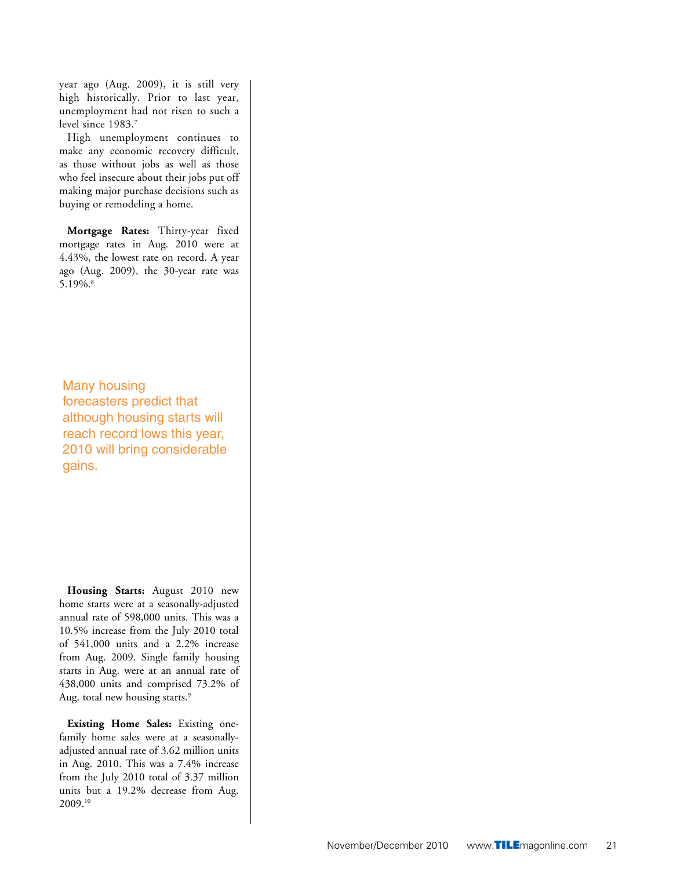year ago (Aug. 2009), it is still very high historically. Prior to last year, unemployment had not risen to such a level since 1983.7

High unemployment continues to make any economic recovery difficult, as those without jobs as well as those who feel insecure about their jobs put off making major purchase decisions such as buying or remodeling a home.

**Mortgage Rates:** Thirty-year fixed mortgage rates in Aug. 2010 were at 4.43%, the lowest rate on record. A year ago (Aug. 2009), the 30-year rate was 5.19%.8

Many housing forecasters predict that although housing starts will reach record lows this year, 2010 will bring considerable gains.

**Housing Starts:** August 2010 new home starts were at a seasonally-adjusted annual rate of 598,000 units. This was a 10.5% increase from the July 2010 total of 541,000 units and a 2.2% increase from Aug. 2009. Single family housing starts in Aug. were at an annual rate of 438,000 units and comprised 73.2% of Aug. total new housing starts.<sup>9</sup>

**Existing Home Sales:** Existing onefamily home sales were at a seasonallyadjusted annual rate of 3.62 million units in Aug. 2010. This was a 7.4% increase from the July 2010 total of 3.37 million units but a 19.2% decrease from Aug. 2009.10